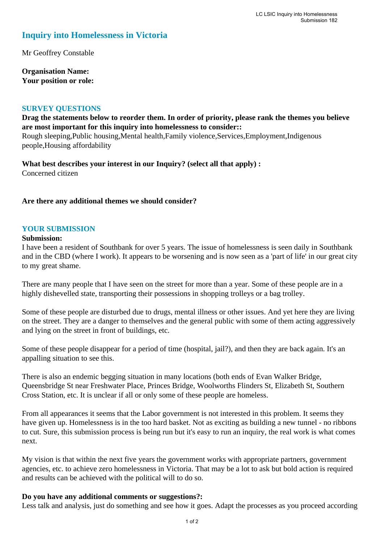## **Inquiry into Homelessness in Victoria**

Mr Geoffrey Constable

**Organisation Name: Your position or role:** 

### **SURVEY QUESTIONS**

**Drag the statements below to reorder them. In order of priority, please rank the themes you believe are most important for this inquiry into homelessness to consider::**  Rough sleeping,Public housing,Mental health,Family violence,Services,Employment,Indigenous people,Housing affordability

**What best describes your interest in our Inquiry? (select all that apply) :**  Concerned citizen

## **Are there any additional themes we should consider?**

### **YOUR SUBMISSION**

#### **Submission:**

I have been a resident of Southbank for over 5 years. The issue of homelessness is seen daily in Southbank and in the CBD (where I work). It appears to be worsening and is now seen as a 'part of life' in our great city to my great shame.

There are many people that I have seen on the street for more than a year. Some of these people are in a highly dishevelled state, transporting their possessions in shopping trolleys or a bag trolley.

Some of these people are disturbed due to drugs, mental illness or other issues. And yet here they are living on the street. They are a danger to themselves and the general public with some of them acting aggressively and lying on the street in front of buildings, etc.

Some of these people disappear for a period of time (hospital, jail?), and then they are back again. It's an appalling situation to see this.

There is also an endemic begging situation in many locations (both ends of Evan Walker Bridge, Queensbridge St near Freshwater Place, Princes Bridge, Woolworths Flinders St, Elizabeth St, Southern Cross Station, etc. It is unclear if all or only some of these people are homeless.

From all appearances it seems that the Labor government is not interested in this problem. It seems they have given up. Homelessness is in the too hard basket. Not as exciting as building a new tunnel - no ribbons to cut. Sure, this submission process is being run but it's easy to run an inquiry, the real work is what comes next.

My vision is that within the next five years the government works with appropriate partners, government agencies, etc. to achieve zero homelessness in Victoria. That may be a lot to ask but bold action is required and results can be achieved with the political will to do so.

#### **Do you have any additional comments or suggestions?:**

Less talk and analysis, just do something and see how it goes. Adapt the processes as you proceed according